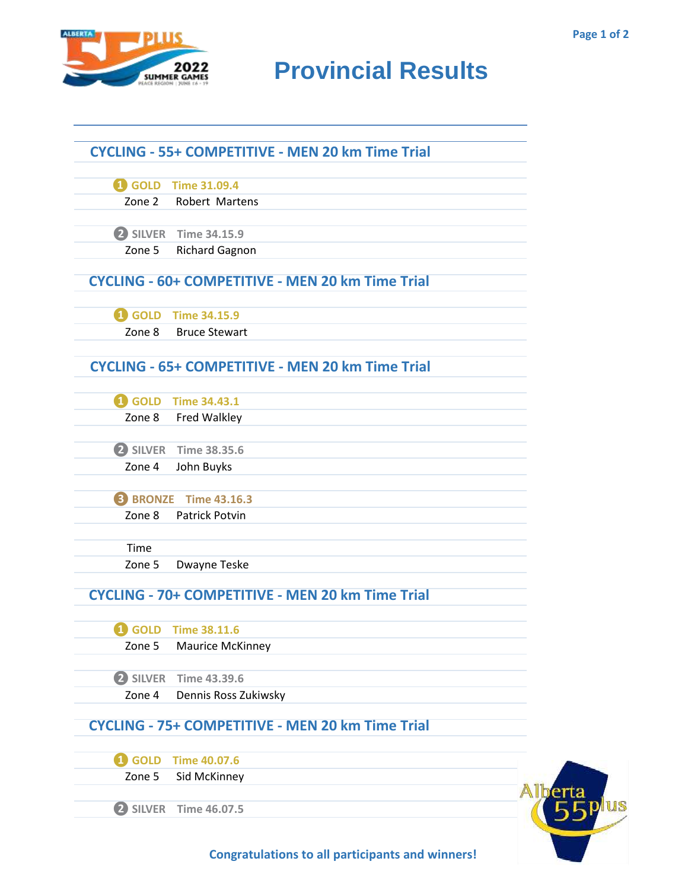ta<br>5 plus



## **RESULTS** BROUND **Provincial Results**

|        | <b>CYCLING - 55+ COMPETITIVE - MEN 20 km Time Trial</b> |  |
|--------|---------------------------------------------------------|--|
|        | 4 GOLD Time 31.09.4                                     |  |
| Zone 2 | <b>Robert Martens</b>                                   |  |
|        | 2 SILVER Time 34.15.9                                   |  |
| Zone 5 | <b>Richard Gagnon</b>                                   |  |
|        | <b>CYCLING - 60+ COMPETITIVE - MEN 20 km Time Trial</b> |  |
|        | 4 GOLD Time 34.15.9                                     |  |
| Zone 8 | <b>Bruce Stewart</b>                                    |  |
|        | <b>CYCLING - 65+ COMPETITIVE - MEN 20 km Time Trial</b> |  |
|        | 4 GOLD Time 34.43.1                                     |  |
|        | Zone 8 Fred Walkley                                     |  |
|        | 2 SILVER Time 38.35.6                                   |  |
| Zone 4 | John Buyks                                              |  |
|        | <b>B</b> BRONZE Time 43.16.3                            |  |
| Zone 8 | <b>Patrick Potvin</b>                                   |  |
| Time   |                                                         |  |
| Zone 5 | Dwayne Teske                                            |  |
|        | CYCLING - 70+ COMPETITIVE - MEN 20 km Time Trial        |  |
|        | 4 GOLD Time 38.11.6                                     |  |
| Zone 5 | Maurice McKinney                                        |  |
|        | 2 SILVER Time 43.39.6                                   |  |
| Zone 4 | Dennis Ross Zukiwsky                                    |  |
|        | <b>CYCLING - 75+ COMPETITIVE - MEN 20 km Time Trial</b> |  |
|        | 40.07.6                                                 |  |
| Zone 5 | Sid McKinney                                            |  |
|        |                                                         |  |

**Congratulations to all participants and winners!**